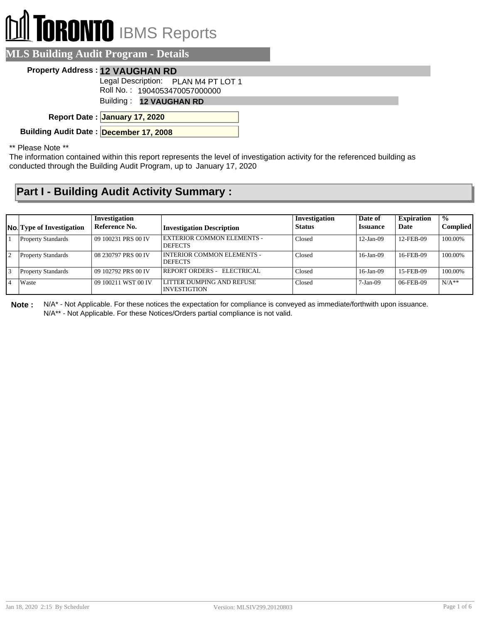# **RONTO** IBMS Reports

#### **MLS Building Audit Program - Details**

#### **Property Address : 12 VAUGHAN RD**

Legal Description: PLAN M4 PT LOT 1

Roll No. : 1904053470057000000

Building : **12 VAUGHAN RD**

**January 17, 2020 Report Date :**

**Building Audit Date : December 17, 2008**

\*\* Please Note \*\*

The information contained within this report represents the level of investigation activity for the referenced building as conducted through the Building Audit Program, up to January 17, 2020

### **Part I - Building Audit Activity Summary :**

|              | <b>No.</b> Type of Investigation | Investigation<br>Reference No. | <b>Investigation Description</b>                    | Investigation<br><b>Status</b> | Date of<br><b>Issuance</b> | <b>Expiration</b><br>Date | $\frac{0}{0}$<br><b>Complied</b> |
|--------------|----------------------------------|--------------------------------|-----------------------------------------------------|--------------------------------|----------------------------|---------------------------|----------------------------------|
|              | <b>Property Standards</b>        | 09 100231 PRS 00 IV            | EXTERIOR COMMON ELEMENTS -<br><b>DEFECTS</b>        | Closed                         | $12-Jan-09$                | 12-FEB-09                 | 100.00%                          |
| $\mathbf{1}$ | <b>Property Standards</b>        | 08 230797 PRS 00 IV            | <b>INTERIOR COMMON ELEMENTS -</b><br><b>DEFECTS</b> | Closed                         | $16$ -Jan-09               | 16-FEB-09                 | 100.00%                          |
|              | <b>Property Standards</b>        | 09 102792 PRS 00 IV            | REPORT ORDERS - ELECTRICAL                          | Closed                         | $16$ -Jan-09               | 15-FEB-09                 | 100.00%                          |
|              | Waste                            | 09 100211 WST 00 IV            | LITTER DUMPING AND REFUSE<br><b>INVESTIGTION</b>    | Closed                         | $7-Jan-09$                 | 06-FEB-09                 | $N/A**$                          |

**Note :** N/A\* - Not Applicable. For these notices the expectation for compliance is conveyed as immediate/forthwith upon issuance. N/A\*\* - Not Applicable. For these Notices/Orders partial compliance is not valid.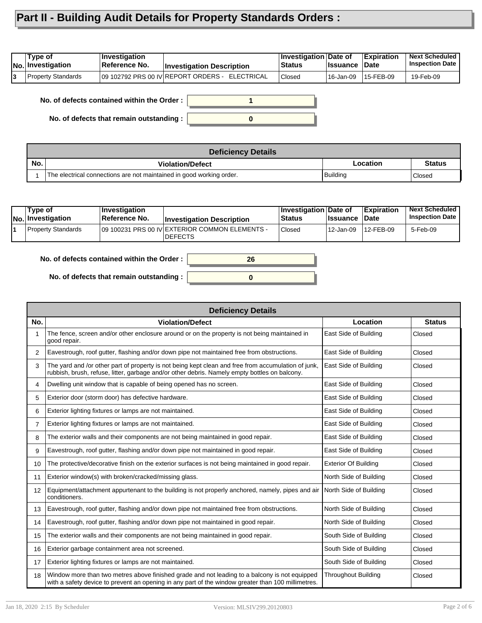## **Part II - Building Audit Details for Property Standards Orders :**

| Type of<br> No. Investigation | ∣Investiqation<br><b>∣Reference No.</b> | <b>Investigation Description</b>                | ∄Investigation⊺Date of<br><b>Status</b> | ∣Issuance ∣Date | <b>Expiration</b> | <b>Next Scheduled</b><br><b>Inspection Date</b> |
|-------------------------------|-----------------------------------------|-------------------------------------------------|-----------------------------------------|-----------------|-------------------|-------------------------------------------------|
| Property Standards            |                                         | 109 102792 PRS 00 IV REPORT ORDERS - ELECTRICAL | Closed                                  | ' 16-Jan-09     | 15-FEB-09         | 19-Feb-09                                       |

**No. of defects contained within the Order :**

**No. of defects that remain outstanding :**



|     | <b>Deficiency Details</b>                                            |          |               |  |  |  |
|-----|----------------------------------------------------------------------|----------|---------------|--|--|--|
| No. | <b>Violation/Defect</b>                                              | Location | <b>Status</b> |  |  |  |
|     | The electrical connections are not maintained in good working order. | Building | l Closed      |  |  |  |

| Tvpe of<br> No. Investigation | ∣Investiqation<br>∣Reference No. | <b>Investigation Description</b>                                  | <b>Investigation Date of</b><br><b>Status</b> | <b>Issuance</b> | <b>Expiration</b><br>⊪Date | <b>Next Scheduled</b><br><b>Inspection Date</b> |
|-------------------------------|----------------------------------|-------------------------------------------------------------------|-----------------------------------------------|-----------------|----------------------------|-------------------------------------------------|
| Property Standards            |                                  | 109 100231 PRS 00 IV EXTERIOR COMMON ELEMENTS -<br><b>DEFECTS</b> | <b>Closed</b>                                 | 12-Jan-09       | 12-FEB-09                  | 5-Feb-09                                        |



**No. of defects that remain outstanding :**

|     | <b>Deficiency Details</b>                                                                                                                                                                            |                             |               |  |  |  |  |  |
|-----|------------------------------------------------------------------------------------------------------------------------------------------------------------------------------------------------------|-----------------------------|---------------|--|--|--|--|--|
| No. | <b>Violation/Defect</b>                                                                                                                                                                              | Location                    | <b>Status</b> |  |  |  |  |  |
|     | The fence, screen and/or other enclosure around or on the property is not being maintained in<br>good repair.                                                                                        | East Side of Building       | Closed        |  |  |  |  |  |
| 2   | Eavestrough, roof gutter, flashing and/or down pipe not maintained free from obstructions.                                                                                                           | East Side of Building       | Closed        |  |  |  |  |  |
| 3   | The yard and /or other part of property is not being kept clean and free from accumulation of junk,<br>rubbish, brush, refuse, litter, garbage and/or other debris. Namely empty bottles on balcony. | East Side of Building       | Closed        |  |  |  |  |  |
| 4   | Dwelling unit window that is capable of being opened has no screen.                                                                                                                                  | East Side of Building       | Closed        |  |  |  |  |  |
| 5   | Exterior door (storm door) has defective hardware.                                                                                                                                                   | East Side of Building       | Closed        |  |  |  |  |  |
| 6   | Exterior lighting fixtures or lamps are not maintained.                                                                                                                                              | East Side of Building       | Closed        |  |  |  |  |  |
| 7   | Exterior lighting fixtures or lamps are not maintained.                                                                                                                                              | East Side of Building       | Closed        |  |  |  |  |  |
| 8   | The exterior walls and their components are not being maintained in good repair.                                                                                                                     | East Side of Building       | Closed        |  |  |  |  |  |
| 9   | Eavestrough, roof gutter, flashing and/or down pipe not maintained in good repair.                                                                                                                   | East Side of Building       | Closed        |  |  |  |  |  |
| 10  | The protective/decorative finish on the exterior surfaces is not being maintained in good repair.                                                                                                    | <b>Exterior Of Building</b> | Closed        |  |  |  |  |  |
| 11  | Exterior window(s) with broken/cracked/missing glass.                                                                                                                                                | North Side of Building      | Closed        |  |  |  |  |  |
| 12  | Equipment/attachment appurtenant to the building is not properly anchored, namely, pipes and air<br>conditioners.                                                                                    | North Side of Building      | Closed        |  |  |  |  |  |
| 13  | Eavestrough, roof gutter, flashing and/or down pipe not maintained free from obstructions.                                                                                                           | North Side of Building      | Closed        |  |  |  |  |  |
| 14  | Eavestrough, roof gutter, flashing and/or down pipe not maintained in good repair.                                                                                                                   | North Side of Building      | Closed        |  |  |  |  |  |
| 15  | The exterior walls and their components are not being maintained in good repair.                                                                                                                     | South Side of Building      | Closed        |  |  |  |  |  |
| 16  | Exterior garbage containment area not screened.                                                                                                                                                      | South Side of Building      | Closed        |  |  |  |  |  |
| 17  | Exterior lighting fixtures or lamps are not maintained.                                                                                                                                              | South Side of Building      | Closed        |  |  |  |  |  |
| 18  | Window more than two metres above finished grade and not leading to a balcony is not equipped<br>with a safety device to prevent an opening in any part of the window greater than 100 millimetres.  | <b>Throughout Building</b>  | Closed        |  |  |  |  |  |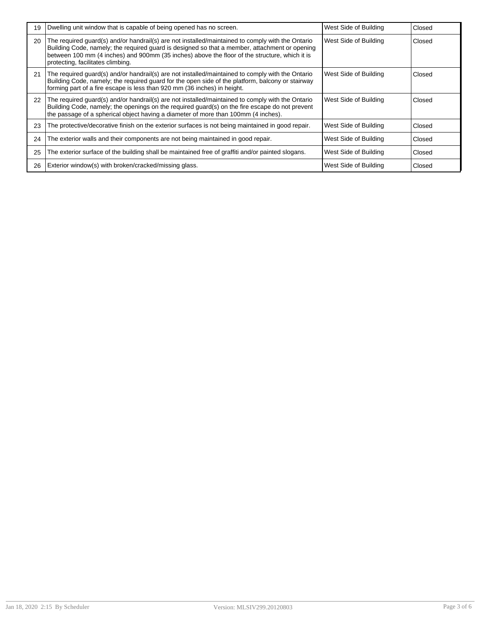| 19 | Dwelling unit window that is capable of being opened has no screen.                                                                                                                                                                                                                                                                     | West Side of Building | Closed |
|----|-----------------------------------------------------------------------------------------------------------------------------------------------------------------------------------------------------------------------------------------------------------------------------------------------------------------------------------------|-----------------------|--------|
| 20 | The required guard(s) and/or handrail(s) are not installed/maintained to comply with the Ontario<br>Building Code, namely; the required guard is designed so that a member, attachment or opening<br>between 100 mm (4 inches) and 900mm (35 inches) above the floor of the structure, which it is<br>protecting, facilitates climbing. | West Side of Building | Closed |
| 21 | The required guard(s) and/or handrail(s) are not installed/maintained to comply with the Ontario<br>Building Code, namely; the required guard for the open side of the platform, balcony or stairway<br>forming part of a fire escape is less than 920 mm (36 inches) in height.                                                        | West Side of Building | Closed |
| 22 | The required guard(s) and/or handrail(s) are not installed/maintained to comply with the Ontario<br>Building Code, namely; the openings on the required guard(s) on the fire escape do not prevent<br>the passage of a spherical object having a diameter of more than 100mm (4 inches).                                                | West Side of Building | Closed |
| 23 | The protective/decorative finish on the exterior surfaces is not being maintained in good repair.                                                                                                                                                                                                                                       | West Side of Building | Closed |
| 24 | The exterior walls and their components are not being maintained in good repair.                                                                                                                                                                                                                                                        | West Side of Building | Closed |
| 25 | The exterior surface of the building shall be maintained free of graffiti and/or painted slogans.                                                                                                                                                                                                                                       | West Side of Building | Closed |
| 26 | Exterior window(s) with broken/cracked/missing glass.                                                                                                                                                                                                                                                                                   | West Side of Building | Closed |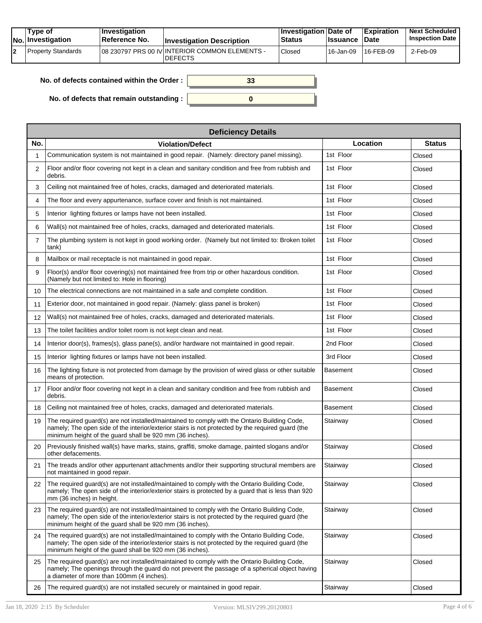| Tvpe of<br>$ No $ Investigation | <b>Investigation</b><br>∣Reference No. | <b>Investigation Description</b>                                  | <b>Investigation Date of</b><br>Status | <b>Ilssuance Date</b> | Expiration   | <b>Next Scheduled</b><br><b>Inspection Date I</b> |
|---------------------------------|----------------------------------------|-------------------------------------------------------------------|----------------------------------------|-----------------------|--------------|---------------------------------------------------|
| Property Standards              |                                        | 108 230797 PRS 00 IV INTERIOR COMMON ELEMENTS -<br><b>DEFECTS</b> | Closed                                 | ' 16-Jan-09           | $16$ -FEB-09 | 2-Feb-09                                          |

| No. of defects contained within the Order: | 33 |
|--------------------------------------------|----|
|                                            |    |
| No. of defects that remain outstanding :   |    |

|     | <b>Deficiency Details</b>                                                                                                                                                                                                                                     |                 |               |  |  |  |  |  |  |
|-----|---------------------------------------------------------------------------------------------------------------------------------------------------------------------------------------------------------------------------------------------------------------|-----------------|---------------|--|--|--|--|--|--|
| No. | <b>Violation/Defect</b>                                                                                                                                                                                                                                       | Location        | <b>Status</b> |  |  |  |  |  |  |
|     | Communication system is not maintained in good repair. (Namely: directory panel missing).                                                                                                                                                                     | 1st Floor       | Closed        |  |  |  |  |  |  |
| 2   | Floor and/or floor covering not kept in a clean and sanitary condition and free from rubbish and<br>debris.                                                                                                                                                   | 1st Floor       | Closed        |  |  |  |  |  |  |
| 3   | Ceiling not maintained free of holes, cracks, damaged and deteriorated materials.                                                                                                                                                                             | 1st Floor       | Closed        |  |  |  |  |  |  |
| 4   | The floor and every appurtenance, surface cover and finish is not maintained.                                                                                                                                                                                 | 1st Floor       | Closed        |  |  |  |  |  |  |
| 5   | Interior lighting fixtures or lamps have not been installed.                                                                                                                                                                                                  | 1st Floor       | Closed        |  |  |  |  |  |  |
| 6   | Wall(s) not maintained free of holes, cracks, damaged and deteriorated materials.                                                                                                                                                                             | 1st Floor       | Closed        |  |  |  |  |  |  |
| 7   | The plumbing system is not kept in good working order. (Namely but not limited to: Broken toilet<br>tank)                                                                                                                                                     | 1st Floor       | Closed        |  |  |  |  |  |  |
| 8   | Mailbox or mail receptacle is not maintained in good repair.                                                                                                                                                                                                  | 1st Floor       | Closed        |  |  |  |  |  |  |
| 9   | Floor(s) and/or floor covering(s) not maintained free from trip or other hazardous condition.<br>(Namely but not limited to: Hole in flooring)                                                                                                                | 1st Floor       | Closed        |  |  |  |  |  |  |
| 10  | The electrical connections are not maintained in a safe and complete condition.                                                                                                                                                                               | 1st Floor       | Closed        |  |  |  |  |  |  |
| 11  | Exterior door, not maintained in good repair. (Namely: glass panel is broken)                                                                                                                                                                                 | 1st Floor       | Closed        |  |  |  |  |  |  |
| 12  | Wall(s) not maintained free of holes, cracks, damaged and deteriorated materials.                                                                                                                                                                             | 1st Floor       | Closed        |  |  |  |  |  |  |
| 13  | The toilet facilities and/or toilet room is not kept clean and neat.                                                                                                                                                                                          | 1st Floor       | Closed        |  |  |  |  |  |  |
| 14  | Interior door(s), frames(s), glass pane(s), and/or hardware not maintained in good repair.                                                                                                                                                                    | 2nd Floor       | Closed        |  |  |  |  |  |  |
| 15  | Interior lighting fixtures or lamps have not been installed.                                                                                                                                                                                                  | 3rd Floor       | Closed        |  |  |  |  |  |  |
| 16  | The lighting fixture is not protected from damage by the provision of wired glass or other suitable<br>means of protection.                                                                                                                                   | Basement        | Closed        |  |  |  |  |  |  |
| 17  | Floor and/or floor covering not kept in a clean and sanitary condition and free from rubbish and<br>debris.                                                                                                                                                   | <b>Basement</b> | Closed        |  |  |  |  |  |  |
| 18  | Ceiling not maintained free of holes, cracks, damaged and deteriorated materials.                                                                                                                                                                             | <b>Basement</b> | Closed        |  |  |  |  |  |  |
| 19  | The required guard(s) are not installed/maintained to comply with the Ontario Building Code,<br>namely; The open side of the interior/exterior stairs is not protected by the required guard (the<br>minimum height of the guard shall be 920 mm (36 inches). | Stairway        | Closed        |  |  |  |  |  |  |
| 20  | Previously finished wall(s) have marks, stains, graffiti, smoke damage, painted slogans and/or<br>other defacements.                                                                                                                                          | Stairway        | Closed        |  |  |  |  |  |  |
| 21  | The treads and/or other appurtenant attachments and/or their supporting structural members are<br>not maintained in good repair.                                                                                                                              | Stairway        | Closed        |  |  |  |  |  |  |
| 22  | The required guard(s) are not installed/maintained to comply with the Ontario Building Code,<br>namely; The open side of the interior/exterior stairs is protected by a guard that is less than 920<br>mm (36 inches) in height.                              | Stairway        | Closed        |  |  |  |  |  |  |
| 23  | The required quard(s) are not installed/maintained to comply with the Ontario Building Code,<br>namely; The open side of the interior/exterior stairs is not protected by the required guard (the<br>minimum height of the guard shall be 920 mm (36 inches). | Stairway        | Closed        |  |  |  |  |  |  |
| 24  | The required guard(s) are not installed/maintained to comply with the Ontario Building Code,<br>namely; The open side of the interior/exterior stairs is not protected by the required quard (the<br>minimum height of the guard shall be 920 mm (36 inches). | Stairway        | Closed        |  |  |  |  |  |  |
| 25  | The required guard(s) are not installed/maintained to comply with the Ontario Building Code,<br>namely; The openings through the guard do not prevent the passage of a spherical object having<br>a diameter of more than 100mm (4 inches).                   | Stairway        | Closed        |  |  |  |  |  |  |
| 26  | The required guard(s) are not installed securely or maintained in good repair.                                                                                                                                                                                | Stairway        | Closed        |  |  |  |  |  |  |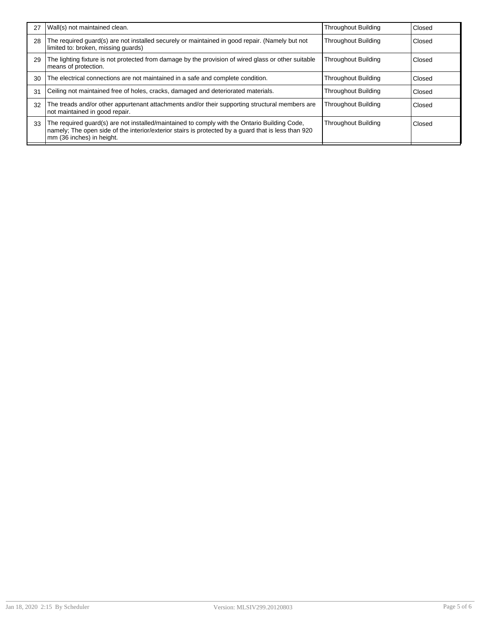| 27 | Wall(s) not maintained clean.                                                                                                                                                                                                    | <b>Throughout Building</b> | Closed |
|----|----------------------------------------------------------------------------------------------------------------------------------------------------------------------------------------------------------------------------------|----------------------------|--------|
| 28 | The required guard(s) are not installed securely or maintained in good repair. (Namely but not<br>limited to: broken, missing quards)                                                                                            | <b>Throughout Building</b> | Closed |
| 29 | The lighting fixture is not protected from damage by the provision of wired glass or other suitable<br>means of protection.                                                                                                      | Throughout Building        | Closed |
| 30 | The electrical connections are not maintained in a safe and complete condition.                                                                                                                                                  | <b>Throughout Building</b> | Closed |
| 31 | Ceiling not maintained free of holes, cracks, damaged and deteriorated materials.                                                                                                                                                | <b>Throughout Building</b> | Closed |
| 32 | The treads and/or other appurtenant attachments and/or their supporting structural members are<br>not maintained in good repair.                                                                                                 | <b>Throughout Building</b> | Closed |
| 33 | The required guard(s) are not installed/maintained to comply with the Ontario Building Code,<br>namely; The open side of the interior/exterior stairs is protected by a guard that is less than 920<br>mm (36 inches) in height. | <b>Throughout Building</b> | Closed |